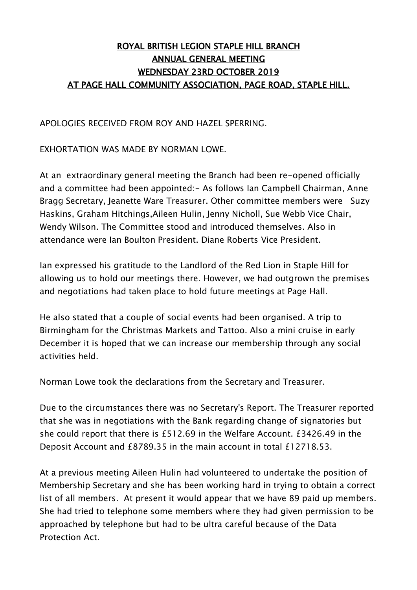## ROYAL BRITISH LEGION STAPLE HILL BRANCH ANNUAL GENERAL MEETING WEDNESDAY 23RD OCTOBER 2019 AT PAGE HALL COMMUNITY ASSOCIATION, PAGE ROAD, STAPLE HILL.

APOLOGIES RECEIVED FROM ROY AND HAZEL SPERRING.

EXHORTATION WAS MADE BY NORMAN LOWE.

At an extraordinary general meeting the Branch had been re-opened officially and a committee had been appointed: - As follows Ian Campbell Chairman, Anne Bragg Secretary, Jeanette Ware Treasurer. Other committee members were Suzy Haskins, Graham Hitchings,Aileen Hulin, Jenny Nicholl, Sue Webb Vice Chair, Wendy Wilson. The Committee stood and introduced themselves. Also in attendance were Ian Boulton President. Diane Roberts Vice President.

Ian expressed his gratitude to the Landlord of the Red Lion in Staple Hill for allowing us to hold our meetings there. However, we had outgrown the premises and negotiations had taken place to hold future meetings at Page Hall.

He also stated that a couple of social events had been organised. A trip to Birmingham for the Christmas Markets and Tattoo. Also a mini cruise in early December it is hoped that we can increase our membership through any social activities held.

Norman Lowe took the declarations from the Secretary and Treasurer.

Due to the circumstances there was no Secretary's Report. The Treasurer reported that she was in negotiations with the Bank regarding change of signatories but she could report that there is £512.69 in the Welfare Account. £3426.49 in the Deposit Account and £8789.35 in the main account in total £12718.53.

At a previous meeting Aileen Hulin had volunteered to undertake the position of Membership Secretary and she has been working hard in trying to obtain a correct list of all members. At present it would appear that we have 89 paid up members. She had tried to telephone some members where they had given permission to be approached by telephone but had to be ultra careful because of the Data Protection Act.